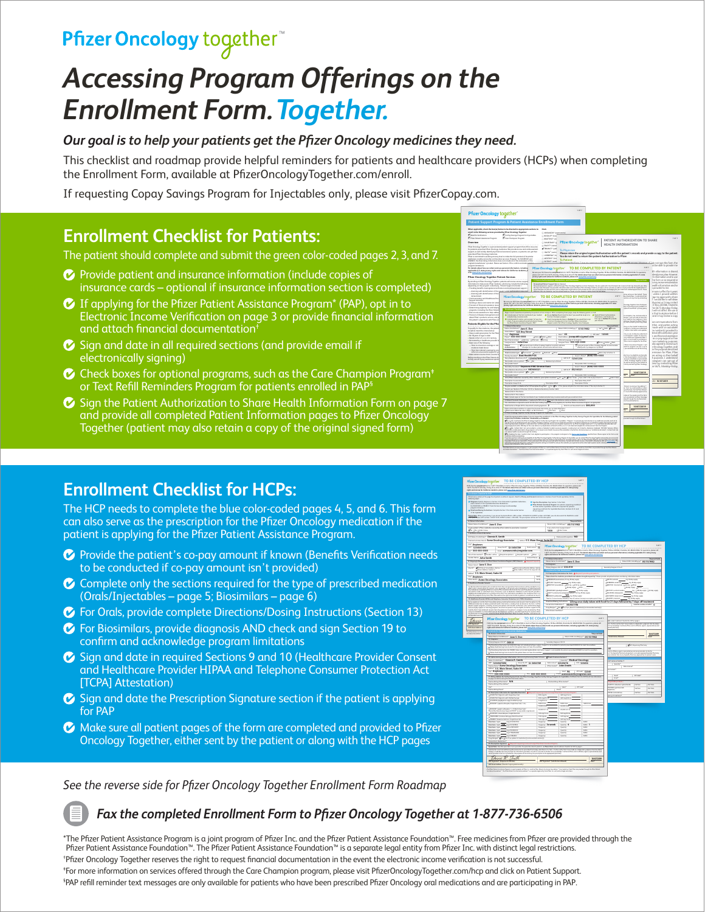## Pfizer Oncology together

# *Accessing Program Offerings on the Enrollment Form. Together.*

#### *Our goal is to help your patients get the Pfizer Oncology medicines they need.*

This checklist and roadmap provide helpful reminders for patients and healthcare providers (HCPs) when completing the Enrollment Form, available at PfizerOncologyTogether.com/enroll.

If requesting Copay Savings Program for Injectables only, please visit PfizerCopay.com.

### **Enrollment Checklist for Patients:**

The patient should complete and submit the green color-coded pages 2, 3, and 7.

- **Provide patient and insurance information (include copies of** insurance cards – optional if insurance information section is completed)
- If applying for the Pfizer Patient Assistance Program\* (PAP), opt in to Electronic Income Verification on page 3 or provide financial information and attach financial documentation†
- $\bullet$  Sign and date in all required sections (and provide email if electronically signing)
- $\bullet$  Check boxes for optional programs, such as the Care Champion Program $^*$ or Text Refill Reminders Program for patients enrolled in PAP
- G Sign the Patient Authorization to Share Health Information Form on page 7 and provide all completed Patient Information pages to Pfizer Oncology Together (patient may also retain a copy of the original signed form)



### **Enrollment Checklist for HCPs:**

The HCP needs to complete the blue color-coded pages 4, 5, and 6. This form can also serve as the prescription for the Pfizer Oncology medication if the patient is applying for the Pfizer Patient Assistance Program.

- $\bullet$  Provide the patient's co-pay amount if known (Benefits Verification needs to be conducted if co-pay amount isn't provided)
- $\bullet$  Complete only the sections required for the type of prescribed medication (Orals/Injectables – page 5; Biosimilars – page 6)
- *C* For Orals, provide complete Directions/Dosing Instructions (Section 13)
- **C** For Biosimilars, provide diagnosis AND check and sign Section 19 to confirm and acknowledge program limitations
- G Sign and date in required Sections 9 and 10 (Healthcare Provider Consent and Healthcare Provider HIPAA and Telephone Consumer Protection Act [TCPA] Attestation)
- $\bullet$  Sign and date the Prescription Signature section if the patient is applying for PAP
- **Make sure all patient pages of the form are completed and provided to Pfizer** Oncology Together, either sent by the patient or along with the HCP pages



*See the reverse side for Pfizer Oncology Together Enrollment Form Roadmap*

#### *Fax the completed Enrollment Form to Pfizer Oncology Together at 1-877-736-6506*

\*The Pfizer Patient Assistance Program is a joint program of Pfizer Inc. and the Pfizer Patient Assistance Foundation™. Free medicines from Pfizer are provided through the Pfizer Patient Assistance Foundation™. The Pfizer Patient Assistance Foundation™ is a separate legal entity from Pfizer Inc. with distinct legal restrictions. † Pfizer Oncology Together reserves the right to request financial documentation in the event the electronic income verification is not successful. ‡ For more information on services offered through the Care Champion program, please visit PfizerOncologyTogether.com/hcp and click on Patient Support. § PAP refill reminder text messages are only available for patients who have been prescribed Pfizer Oncology oral medications and are participating in PAP.